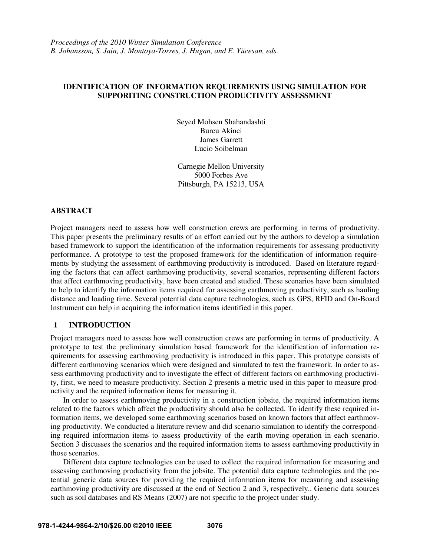# **IDENTIFICATION OF INFORMATION REQUIREMENTS USING SIMULATION FOR SUPPORITING CONSTRUCTION PRODUCTIVITY ASSESSMENT**

Seyed Mohsen Shahandashti Burcu Akinci James Garrett Lucio Soibelman

Carnegie Mellon University 5000 Forbes Ave Pittsburgh, PA 15213, USA

#### **ABSTRACT**

Project managers need to assess how well construction crews are performing in terms of productivity. This paper presents the preliminary results of an effort carried out by the authors to develop a simulation based framework to support the identification of the information requirements for assessing productivity performance. A prototype to test the proposed framework for the identification of information requirements by studying the assessment of earthmoving productivity is introduced. Based on literature regarding the factors that can affect earthmoving productivity, several scenarios, representing different factors that affect earthmoving productivity, have been created and studied. These scenarios have been simulated to help to identify the information items required for assessing earthmoving productivity, such as hauling distance and loading time. Several potential data capture technologies, such as GPS, RFID and On-Board Instrument can help in acquiring the information items identified in this paper.

## **1 INTRODUCTION**

Project managers need to assess how well construction crews are performing in terms of productivity. A prototype to test the preliminary simulation based framework for the identification of information requirements for assessing earthmoving productivity is introduced in this paper. This prototype consists of different earthmoving scenarios which were designed and simulated to test the framework. In order to assess earthmoving productivity and to investigate the effect of different factors on earthmoving productivity, first, we need to measure productivity. Section 2 presents a metric used in this paper to measure productivity and the required information items for measuring it.

 In order to assess earthmoving productivity in a construction jobsite, the required information items related to the factors which affect the productivity should also be collected. To identify these required information items, we developed some earthmoving scenarios based on known factors that affect earthmoving productivity. We conducted a literature review and did scenario simulation to identify the corresponding required information items to assess productivity of the earth moving operation in each scenario. Section 3 discusses the scenarios and the required information items to assess earthmoving productivity in those scenarios.

 Different data capture technologies can be used to collect the required information for measuring and assessing earthmoving productivity from the jobsite. The potential data capture technologies and the potential generic data sources for providing the required information items for measuring and assessing earthmoving productivity are discussed at the end of Section 2 and 3, respectively.. Generic data sources such as soil databases and RS Means (2007) are not specific to the project under study.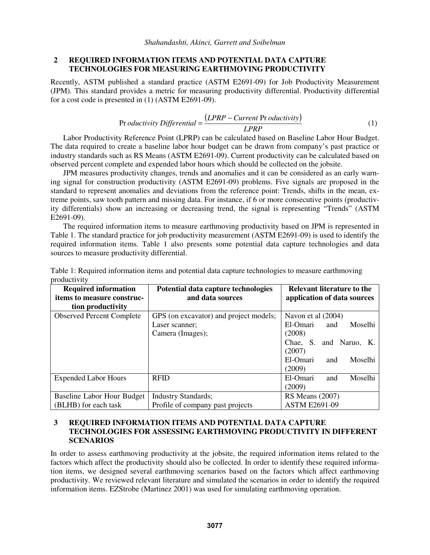## **2 REQUIRED INFORMATION ITEMS AND POTENTIAL DATA CAPTURE TECHNOLOGIES FOR MEASURING EARTHMOVING PRODUCTIVITY**

Recently, ASTM published a standard practice (ASTM E2691-09) for Job Productivity Measurement (JPM). This standard provides a metric for measuring productivity differential. Productivity differential for a cost code is presented in (1) (ASTM E2691-09).

$$
Pr\,oductivity\,Differential = \frac{(LPRP - Current\,Pr\,oductivity)}{LPRP}
$$
\n<sup>(1)</sup>

Labor Productivity Reference Point (LPRP) can be calculated based on Baseline Labor Hour Budget. The data required to create a baseline labor hour budget can be drawn from company's past practice or industry standards such as RS Means (ASTM E2691-09). Current productivity can be calculated based on observed percent complete and expended labor hours which should be collected on the jobsite.

JPM measures productivity changes, trends and anomalies and it can be considered as an early warning signal for construction productivity (ASTM E2691-09) problems. Five signals are proposed in the standard to represent anomalies and deviations from the reference point: Trends, shifts in the mean, extreme points, saw tooth pattern and missing data. For instance, if 6 or more consecutive points (productivity differentials) show an increasing or decreasing trend, the signal is representing "Trends" (ASTM E2691-09).

The required information items to measure earthmoving productivity based on JPM is represented in Table 1. The standard practice for job productivity measurement (ASTM E2691-09) is used to identify the required information items. Table 1 also presents some potential data capture technologies and data sources to measure productivity differential.

| <b>Required information</b>                        | Potential data capture technologies                                          | Relevant literature to the                                                                        |  |
|----------------------------------------------------|------------------------------------------------------------------------------|---------------------------------------------------------------------------------------------------|--|
| items to measure construc-<br>tion productivity    | and data sources                                                             | application of data sources                                                                       |  |
| <b>Observed Percent Complete</b>                   | GPS (on excavator) and project models;<br>Laser scanner;<br>Camera (Images); | Navon et al (2004)<br>El-Omari<br>Moselhi<br>and<br>(2008)<br>and Naruo, K.<br>Chae, S.<br>(2007) |  |
|                                                    |                                                                              | El-Omari<br>Moselhi<br>and<br>(2009)                                                              |  |
| <b>Expended Labor Hours</b>                        | <b>RFID</b>                                                                  | El-Omari<br>Moselhi<br>and<br>(2009)                                                              |  |
| Baseline Labor Hour Budget<br>(BLHB) for each task | <b>Industry Standards;</b><br>Profile of company past projects               | <b>RS</b> Means (2007)<br><b>ASTM E2691-09</b>                                                    |  |

| Table 1: Required information items and potential data capture technologies to measure earthmoving |  |
|----------------------------------------------------------------------------------------------------|--|
| productivity                                                                                       |  |

# **3 REQUIRED INFORMATION ITEMS AND POTENTIAL DATA CAPTURE TECHNOLOGIES FOR ASSESSING EARTHMOVING PRODUCTIVITY IN DIFFERENT SCENARIOS**

In order to assess earthmoving productivity at the jobsite, the required information items related to the factors which affect the productivity should also be collected. In order to identify these required information items, we designed several earthmoving scenarios based on the factors which affect earthmoving productivity. We reviewed relevant literature and simulated the scenarios in order to identify the required information items. EZStrobe (Martinez 2001) was used for simulating earthmoving operation.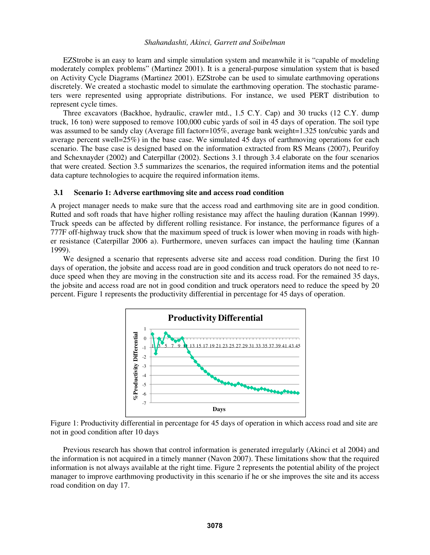EZStrobe is an easy to learn and simple simulation system and meanwhile it is "capable of modeling moderately complex problems" (Martinez 2001). It is a general-purpose simulation system that is based on Activity Cycle Diagrams (Martinez 2001). EZStrobe can be used to simulate earthmoving operations discretely. We created a stochastic model to simulate the earthmoving operation. The stochastic parameters were represented using appropriate distributions. For instance, we used PERT distribution to represent cycle times.

Three excavators (Backhoe, hydraulic, crawler mtd., 1.5 C.Y. Cap) and 30 trucks (12 C.Y. dump truck, 16 ton) were supposed to remove 100,000 cubic yards of soil in 45 days of operation. The soil type was assumed to be sandy clay (Average fill factor=105%, average bank weight=1.325 ton/cubic yards and average percent swell=25%) in the base case. We simulated 45 days of earthmoving operations for each scenario. The base case is designed based on the information extracted from RS Means (2007), Peurifoy and Schexnayder (2002) and Caterpillar (2002). Sections 3.1 through 3.4 elaborate on the four scenarios that were created. Section 3.5 summarizes the scenarios, the required information items and the potential data capture technologies to acquire the required information items.

#### **3.1 Scenario 1: Adverse earthmoving site and access road condition**

A project manager needs to make sure that the access road and earthmoving site are in good condition. Rutted and soft roads that have higher rolling resistance may affect the hauling duration (Kannan 1999). Truck speeds can be affected by different rolling resistance. For instance, the performance figures of a 777F off-highway truck show that the maximum speed of truck is lower when moving in roads with higher resistance (Caterpillar 2006 a). Furthermore, uneven surfaces can impact the hauling time (Kannan 1999).

We designed a scenario that represents adverse site and access road condition. During the first 10 days of operation, the jobsite and access road are in good condition and truck operators do not need to reduce speed when they are moving in the construction site and its access road. For the remained 35 days, the jobsite and access road are not in good condition and truck operators need to reduce the speed by 20 percent. Figure 1 represents the productivity differential in percentage for 45 days of operation.



Figure 1: Productivity differential in percentage for 45 days of operation in which access road and site are not in good condition after 10 days

Previous research has shown that control information is generated irregularly (Akinci et al 2004) and the information is not acquired in a timely manner (Navon 2007). These limitations show that the required information is not always available at the right time. Figure 2 represents the potential ability of the project manager to improve earthmoving productivity in this scenario if he or she improves the site and its access road condition on day 17.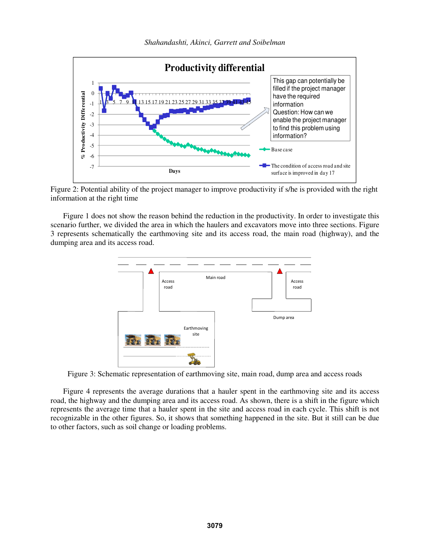

Figure 2: Potential ability of the project manager to improve productivity if s/he is provided with the right information at the right time

Figure 1 does not show the reason behind the reduction in the productivity. In order to investigate this scenario further, we divided the area in which the haulers and excavators move into three sections. Figure 3 represents schematically the earthmoving site and its access road, the main road (highway), and the dumping area and its access road.



Figure 3: Schematic representation of earthmoving site, main road, dump area and access roads

Figure 4 represents the average durations that a hauler spent in the earthmoving site and its access road, the highway and the dumping area and its access road. As shown, there is a shift in the figure which represents the average time that a hauler spent in the site and access road in each cycle. This shift is not recognizable in the other figures. So, it shows that something happened in the site. But it still can be due to other factors, such as soil change or loading problems.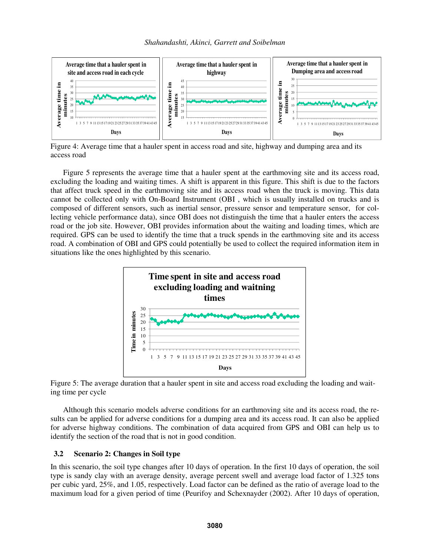

Figure 4: Average time that a hauler spent in access road and site, highway and dumping area and its access road

Figure 5 represents the average time that a hauler spent at the earthmoving site and its access road, excluding the loading and waiting times. A shift is apparent in this figure. This shift is due to the factors that affect truck speed in the earthmoving site and its access road when the truck is moving. This data cannot be collected only with On-Board Instrument (OBI , which is usually installed on trucks and is composed of different sensors, such as inertial sensor, pressure sensor and temperature sensor, for collecting vehicle performance data), since OBI does not distinguish the time that a hauler enters the access road or the job site. However, OBI provides information about the waiting and loading times, which are required. GPS can be used to identify the time that a truck spends in the earthmoving site and its access road. A combination of OBI and GPS could potentially be used to collect the required information item in situations like the ones highlighted by this scenario.



Figure 5: The average duration that a hauler spent in site and access road excluding the loading and waiting time per cycle

Although this scenario models adverse conditions for an earthmoving site and its access road, the results can be applied for adverse conditions for a dumping area and its access road. It can also be applied for adverse highway conditions. The combination of data acquired from GPS and OBI can help us to identify the section of the road that is not in good condition.

# **3.2 Scenario 2: Changes in Soil type**

In this scenario, the soil type changes after 10 days of operation. In the first 10 days of operation, the soil type is sandy clay with an average density, average percent swell and average load factor of 1.325 tons per cubic yard, 25%, and 1.05, respectively. Load factor can be defined as the ratio of average load to the maximum load for a given period of time (Peurifoy and Schexnayder (2002). After 10 days of operation,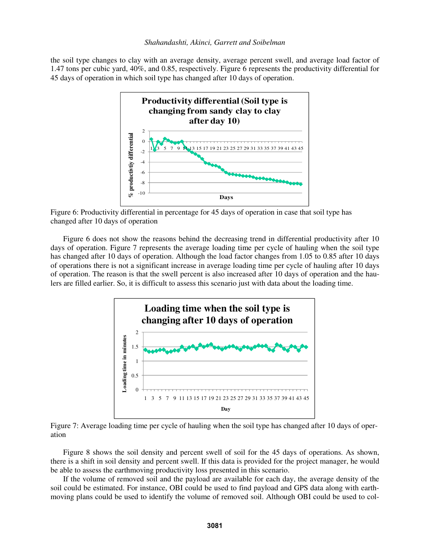the soil type changes to clay with an average density, average percent swell, and average load factor of 1.47 tons per cubic yard, 40%, and 0.85, respectively. Figure 6 represents the productivity differential for 45 days of operation in which soil type has changed after 10 days of operation.



Figure 6: Productivity differential in percentage for 45 days of operation in case that soil type has changed after 10 days of operation

Figure 6 does not show the reasons behind the decreasing trend in differential productivity after 10 days of operation. Figure 7 represents the average loading time per cycle of hauling when the soil type has changed after 10 days of operation. Although the load factor changes from 1.05 to 0.85 after 10 days of operations there is not a significant increase in average loading time per cycle of hauling after 10 days of operation. The reason is that the swell percent is also increased after 10 days of operation and the haulers are filled earlier. So, it is difficult to assess this scenario just with data about the loading time.



Figure 7: Average loading time per cycle of hauling when the soil type has changed after 10 days of operation

Figure 8 shows the soil density and percent swell of soil for the 45 days of operations. As shown, there is a shift in soil density and percent swell. If this data is provided for the project manager, he would be able to assess the earthmoving productivity loss presented in this scenario.

If the volume of removed soil and the payload are available for each day, the average density of the soil could be estimated. For instance, OBI could be used to find payload and GPS data along with earthmoving plans could be used to identify the volume of removed soil. Although OBI could be used to col-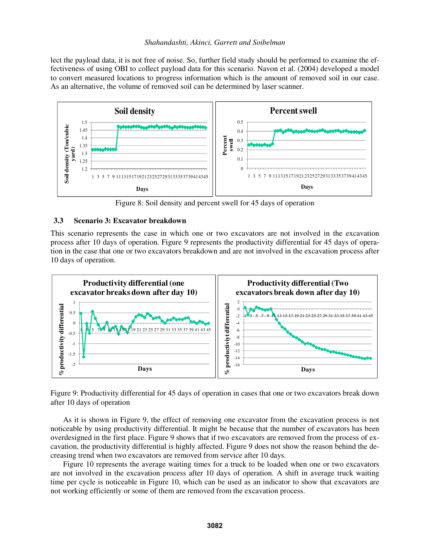lect the payload data, it is not free of noise. So, further field study should be performed to examine the effectiveness of using OBI to collect payload data for this scenario. Navon et al. (2004) developed a model to convert measured locations to progress information which is the amount of removed soil in our case. As an alternative, the volume of removed soil can be determined by laser scanner.



Figure 8: Soil density and percent swell for 45 days of operation

## **3.3 Scenario 3: Excavator breakdown**

This scenario represents the case in which one or two excavators are not involved in the excavation process after 10 days of operation. Figure 9 represents the productivity differential for 45 days of operation in the case that one or two excavators breakdown and are not involved in the excavation process after 10 days of operation.



Figure 9: Productivity differential for 45 days of operation in cases that one or two excavators break down after 10 days of operation

As it is shown in Figure 9, the effect of removing one excavator from the excavation process is not noticeable by using productivity differential. It might be because that the number of excavators has been overdesigned in the first place. Figure 9 shows that if two excavators are removed from the process of excavation, the productivity differential is highly affected. Figure 9 does not show the reason behind the decreasing trend when two excavators are removed from service after 10 days.

Figure 10 represents the average waiting times for a truck to be loaded when one or two excavators are not involved in the excavation process after 10 days of operation. A shift in average truck waiting time per cycle is noticeable in Figure 10, which can be used as an indicator to show that excavators are not working efficiently or some of them are removed from the excavation process.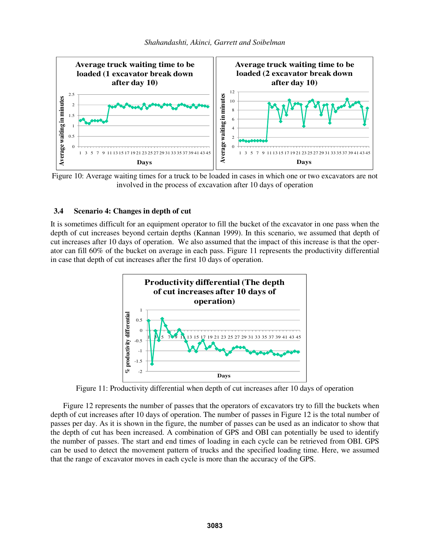

Figure 10: Average waiting times for a truck to be loaded in cases in which one or two excavators are not involved in the process of excavation after 10 days of operation

## **3.4 Scenario 4: Changes in depth of cut**

It is sometimes difficult for an equipment operator to fill the bucket of the excavator in one pass when the depth of cut increases beyond certain depths (Kannan 1999). In this scenario, we assumed that depth of cut increases after 10 days of operation. We also assumed that the impact of this increase is that the operator can fill 60% of the bucket on average in each pass. Figure 11 represents the productivity differential in case that depth of cut increases after the first 10 days of operation.



Figure 11: Productivity differential when depth of cut increases after 10 days of operation

Figure 12 represents the number of passes that the operators of excavators try to fill the buckets when depth of cut increases after 10 days of operation. The number of passes in Figure 12 is the total number of passes per day. As it is shown in the figure, the number of passes can be used as an indicator to show that the depth of cut has been increased. A combination of GPS and OBI can potentially be used to identify the number of passes. The start and end times of loading in each cycle can be retrieved from OBI. GPS can be used to detect the movement pattern of trucks and the specified loading time. Here, we assumed that the range of excavator moves in each cycle is more than the accuracy of the GPS.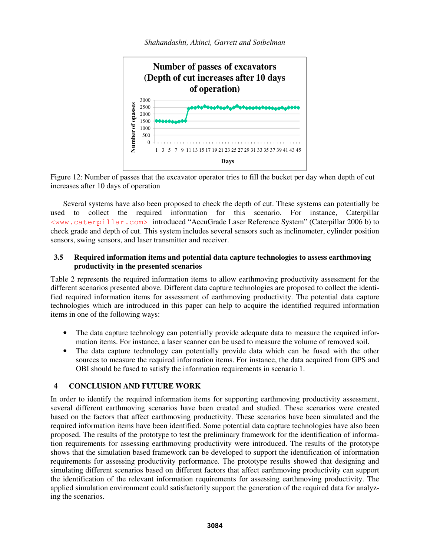

Figure 12: Number of passes that the excavator operator tries to fill the bucket per day when depth of cut increases after 10 days of operation

Several systems have also been proposed to check the depth of cut. These systems can potentially be used to collect the required information for this scenario. For instance, Caterpillar <www.caterpillar.com> introduced "AccuGrade Laser Reference System" (Caterpillar 2006 b) to check grade and depth of cut. This system includes several sensors such as inclinometer, cylinder position sensors, swing sensors, and laser transmitter and receiver.

# **3.5 Required information items and potential data capture technologies to assess earthmoving productivity in the presented scenarios**

Table 2 represents the required information items to allow earthmoving productivity assessment for the different scenarios presented above. Different data capture technologies are proposed to collect the identified required information items for assessment of earthmoving productivity. The potential data capture technologies which are introduced in this paper can help to acquire the identified required information items in one of the following ways:

- The data capture technology can potentially provide adequate data to measure the required information items. For instance, a laser scanner can be used to measure the volume of removed soil.
- The data capture technology can potentially provide data which can be fused with the other sources to measure the required information items. For instance, the data acquired from GPS and OBI should be fused to satisfy the information requirements in scenario 1.

# **4 CONCLUSION AND FUTURE WORK**

In order to identify the required information items for supporting earthmoving productivity assessment, several different earthmoving scenarios have been created and studied. These scenarios were created based on the factors that affect earthmoving productivity. These scenarios have been simulated and the required information items have been identified. Some potential data capture technologies have also been proposed. The results of the prototype to test the preliminary framework for the identification of information requirements for assessing earthmoving productivity were introduced. The results of the prototype shows that the simulation based framework can be developed to support the identification of information requirements for assessing productivity performance. The prototype results showed that designing and simulating different scenarios based on different factors that affect earthmoving productivity can support the identification of the relevant information requirements for assessing earthmoving productivity. The applied simulation environment could satisfactorily support the generation of the required data for analyzing the scenarios.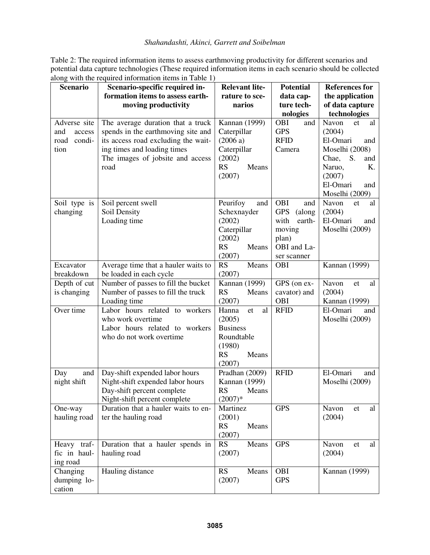| Table 2: The required information items to assess earthmoving productivity for different scenarios and     |
|------------------------------------------------------------------------------------------------------------|
| potential data capture technologies (These required information items in each scenario should be collected |
| along with the required information items in Table 1)                                                      |

| formation items to assess earth-<br>the application<br>rature to sce-<br>data cap-<br>of data capture<br>moving productivity<br>ture tech-<br>narios<br>technologies<br>nologies<br>Kannan (1999)<br>Adverse site<br>The average duration that a truck<br><b>OBI</b><br>Navon<br>et<br>al<br>and<br>spends in the earthmoving site and<br>Caterpillar<br><b>GPS</b><br>(2004)<br>and<br>access<br>(2006a)<br>its access road excluding the wait-<br><b>RFID</b><br>El-Omari<br>road<br>condi-<br>and<br>ing times and loading times<br>Moselhi (2008)<br>tion<br>Caterpillar<br>Camera<br>The images of jobsite and access<br>(2002)<br>Chae,<br>S.<br>and<br><b>RS</b><br>Means<br>Naruo,<br>K.<br>road<br>(2007)<br>(2007)<br>El-Omari<br>and<br>Moselhi (2009)<br>Peurifoy<br><b>OBI</b><br>Navon<br>and<br>Soil type is<br>Soil percent swell<br>al<br>and<br>et<br>Soil Density<br>Schexnayder<br><b>GPS</b><br>(2004)<br>changing<br>(along<br>Loading time<br>with<br>(2002)<br>El-Omari<br>earth-<br>and<br>Caterpillar<br>Moselhi (2009)<br>moving<br>(2002)<br>plan)<br><b>RS</b><br>OBI and La-<br>Means<br>(2007)<br>ser scanner<br><b>RS</b><br>Average time that a hauler waits to<br>Means<br>OBI<br>Kannan (1999)<br>Excavator<br>(2007)<br>be loaded in each cycle<br>breakdown<br>Depth of cut<br>Number of passes to fill the bucket<br>Kannan (1999)<br>GPS (on ex-<br>Navon<br>et<br>al<br>is changing<br>Number of passes to fill the truck<br><b>RS</b><br>Means<br>(2004)<br>cavator) and<br>Loading time<br>(2007)<br><b>OBI</b><br>Kannan (1999)<br>Over time<br>Labor hours related to workers<br>Hanna<br>et<br><b>RFID</b><br>El-Omari<br>al<br>and<br>who work overtime<br>(2005)<br>Moselhi (2009)<br><b>Business</b><br>Labor hours related to workers<br>who do not work overtime<br>Roundtable<br>(1980)<br><b>RS</b><br>Means<br>(2007)<br>Pradhan (2009)<br><b>RFID</b><br>El-Omari<br>Day-shift expended labor hours<br>and<br>Day<br>and<br>night shift<br>Night-shift expended labor hours<br>Kannan (1999)<br>Moselhi (2009)<br><b>RS</b><br>Day-shift percent complete<br>Means<br>Night-shift percent complete<br>$(2007)*$<br>Duration that a hauler waits to en-<br>Martinez<br><b>GPS</b><br>Navon<br>al<br>One-way<br>et<br>(2004)<br>hauling road<br>ter the hauling road<br>(2001)<br><b>RS</b><br>Means<br>(2007)<br><b>RS</b><br><b>GPS</b><br>Heavy traf-<br>Duration that a hauler spends in<br>Means<br>Navon<br>et<br>al<br>fic in haul-<br>(2007)<br>(2004)<br>hauling road<br>ing road<br>Changing<br><b>RS</b><br>OBI<br>Kannan (1999)<br>Hauling distance<br>Means<br>dumping lo-<br>(2007)<br><b>GPS</b> | <b>Scenario</b> | Scenario-specific required in- | <b>Relevant lite-</b> | <b>Potential</b> | <b>References for</b> |
|---------------------------------------------------------------------------------------------------------------------------------------------------------------------------------------------------------------------------------------------------------------------------------------------------------------------------------------------------------------------------------------------------------------------------------------------------------------------------------------------------------------------------------------------------------------------------------------------------------------------------------------------------------------------------------------------------------------------------------------------------------------------------------------------------------------------------------------------------------------------------------------------------------------------------------------------------------------------------------------------------------------------------------------------------------------------------------------------------------------------------------------------------------------------------------------------------------------------------------------------------------------------------------------------------------------------------------------------------------------------------------------------------------------------------------------------------------------------------------------------------------------------------------------------------------------------------------------------------------------------------------------------------------------------------------------------------------------------------------------------------------------------------------------------------------------------------------------------------------------------------------------------------------------------------------------------------------------------------------------------------------------------------------------------------------------------------------------------------------------------------------------------------------------------------------------------------------------------------------------------------------------------------------------------------------------------------------------------------------------------------------------------------------------------------------------------------------------------------------------------------------------------------------------------------------------------------------------------------------------------------------------------------------------------|-----------------|--------------------------------|-----------------------|------------------|-----------------------|
|                                                                                                                                                                                                                                                                                                                                                                                                                                                                                                                                                                                                                                                                                                                                                                                                                                                                                                                                                                                                                                                                                                                                                                                                                                                                                                                                                                                                                                                                                                                                                                                                                                                                                                                                                                                                                                                                                                                                                                                                                                                                                                                                                                                                                                                                                                                                                                                                                                                                                                                                                                                                                                                                     |                 |                                |                       |                  |                       |
|                                                                                                                                                                                                                                                                                                                                                                                                                                                                                                                                                                                                                                                                                                                                                                                                                                                                                                                                                                                                                                                                                                                                                                                                                                                                                                                                                                                                                                                                                                                                                                                                                                                                                                                                                                                                                                                                                                                                                                                                                                                                                                                                                                                                                                                                                                                                                                                                                                                                                                                                                                                                                                                                     |                 |                                |                       |                  |                       |
|                                                                                                                                                                                                                                                                                                                                                                                                                                                                                                                                                                                                                                                                                                                                                                                                                                                                                                                                                                                                                                                                                                                                                                                                                                                                                                                                                                                                                                                                                                                                                                                                                                                                                                                                                                                                                                                                                                                                                                                                                                                                                                                                                                                                                                                                                                                                                                                                                                                                                                                                                                                                                                                                     |                 |                                |                       |                  |                       |
|                                                                                                                                                                                                                                                                                                                                                                                                                                                                                                                                                                                                                                                                                                                                                                                                                                                                                                                                                                                                                                                                                                                                                                                                                                                                                                                                                                                                                                                                                                                                                                                                                                                                                                                                                                                                                                                                                                                                                                                                                                                                                                                                                                                                                                                                                                                                                                                                                                                                                                                                                                                                                                                                     |                 |                                |                       |                  |                       |
|                                                                                                                                                                                                                                                                                                                                                                                                                                                                                                                                                                                                                                                                                                                                                                                                                                                                                                                                                                                                                                                                                                                                                                                                                                                                                                                                                                                                                                                                                                                                                                                                                                                                                                                                                                                                                                                                                                                                                                                                                                                                                                                                                                                                                                                                                                                                                                                                                                                                                                                                                                                                                                                                     |                 |                                |                       |                  |                       |
|                                                                                                                                                                                                                                                                                                                                                                                                                                                                                                                                                                                                                                                                                                                                                                                                                                                                                                                                                                                                                                                                                                                                                                                                                                                                                                                                                                                                                                                                                                                                                                                                                                                                                                                                                                                                                                                                                                                                                                                                                                                                                                                                                                                                                                                                                                                                                                                                                                                                                                                                                                                                                                                                     |                 |                                |                       |                  |                       |
|                                                                                                                                                                                                                                                                                                                                                                                                                                                                                                                                                                                                                                                                                                                                                                                                                                                                                                                                                                                                                                                                                                                                                                                                                                                                                                                                                                                                                                                                                                                                                                                                                                                                                                                                                                                                                                                                                                                                                                                                                                                                                                                                                                                                                                                                                                                                                                                                                                                                                                                                                                                                                                                                     |                 |                                |                       |                  |                       |
|                                                                                                                                                                                                                                                                                                                                                                                                                                                                                                                                                                                                                                                                                                                                                                                                                                                                                                                                                                                                                                                                                                                                                                                                                                                                                                                                                                                                                                                                                                                                                                                                                                                                                                                                                                                                                                                                                                                                                                                                                                                                                                                                                                                                                                                                                                                                                                                                                                                                                                                                                                                                                                                                     |                 |                                |                       |                  |                       |
|                                                                                                                                                                                                                                                                                                                                                                                                                                                                                                                                                                                                                                                                                                                                                                                                                                                                                                                                                                                                                                                                                                                                                                                                                                                                                                                                                                                                                                                                                                                                                                                                                                                                                                                                                                                                                                                                                                                                                                                                                                                                                                                                                                                                                                                                                                                                                                                                                                                                                                                                                                                                                                                                     |                 |                                |                       |                  |                       |
|                                                                                                                                                                                                                                                                                                                                                                                                                                                                                                                                                                                                                                                                                                                                                                                                                                                                                                                                                                                                                                                                                                                                                                                                                                                                                                                                                                                                                                                                                                                                                                                                                                                                                                                                                                                                                                                                                                                                                                                                                                                                                                                                                                                                                                                                                                                                                                                                                                                                                                                                                                                                                                                                     |                 |                                |                       |                  |                       |
|                                                                                                                                                                                                                                                                                                                                                                                                                                                                                                                                                                                                                                                                                                                                                                                                                                                                                                                                                                                                                                                                                                                                                                                                                                                                                                                                                                                                                                                                                                                                                                                                                                                                                                                                                                                                                                                                                                                                                                                                                                                                                                                                                                                                                                                                                                                                                                                                                                                                                                                                                                                                                                                                     |                 |                                |                       |                  |                       |
|                                                                                                                                                                                                                                                                                                                                                                                                                                                                                                                                                                                                                                                                                                                                                                                                                                                                                                                                                                                                                                                                                                                                                                                                                                                                                                                                                                                                                                                                                                                                                                                                                                                                                                                                                                                                                                                                                                                                                                                                                                                                                                                                                                                                                                                                                                                                                                                                                                                                                                                                                                                                                                                                     |                 |                                |                       |                  |                       |
|                                                                                                                                                                                                                                                                                                                                                                                                                                                                                                                                                                                                                                                                                                                                                                                                                                                                                                                                                                                                                                                                                                                                                                                                                                                                                                                                                                                                                                                                                                                                                                                                                                                                                                                                                                                                                                                                                                                                                                                                                                                                                                                                                                                                                                                                                                                                                                                                                                                                                                                                                                                                                                                                     |                 |                                |                       |                  |                       |
|                                                                                                                                                                                                                                                                                                                                                                                                                                                                                                                                                                                                                                                                                                                                                                                                                                                                                                                                                                                                                                                                                                                                                                                                                                                                                                                                                                                                                                                                                                                                                                                                                                                                                                                                                                                                                                                                                                                                                                                                                                                                                                                                                                                                                                                                                                                                                                                                                                                                                                                                                                                                                                                                     |                 |                                |                       |                  |                       |
|                                                                                                                                                                                                                                                                                                                                                                                                                                                                                                                                                                                                                                                                                                                                                                                                                                                                                                                                                                                                                                                                                                                                                                                                                                                                                                                                                                                                                                                                                                                                                                                                                                                                                                                                                                                                                                                                                                                                                                                                                                                                                                                                                                                                                                                                                                                                                                                                                                                                                                                                                                                                                                                                     |                 |                                |                       |                  |                       |
|                                                                                                                                                                                                                                                                                                                                                                                                                                                                                                                                                                                                                                                                                                                                                                                                                                                                                                                                                                                                                                                                                                                                                                                                                                                                                                                                                                                                                                                                                                                                                                                                                                                                                                                                                                                                                                                                                                                                                                                                                                                                                                                                                                                                                                                                                                                                                                                                                                                                                                                                                                                                                                                                     |                 |                                |                       |                  |                       |
|                                                                                                                                                                                                                                                                                                                                                                                                                                                                                                                                                                                                                                                                                                                                                                                                                                                                                                                                                                                                                                                                                                                                                                                                                                                                                                                                                                                                                                                                                                                                                                                                                                                                                                                                                                                                                                                                                                                                                                                                                                                                                                                                                                                                                                                                                                                                                                                                                                                                                                                                                                                                                                                                     |                 |                                |                       |                  |                       |
|                                                                                                                                                                                                                                                                                                                                                                                                                                                                                                                                                                                                                                                                                                                                                                                                                                                                                                                                                                                                                                                                                                                                                                                                                                                                                                                                                                                                                                                                                                                                                                                                                                                                                                                                                                                                                                                                                                                                                                                                                                                                                                                                                                                                                                                                                                                                                                                                                                                                                                                                                                                                                                                                     |                 |                                |                       |                  |                       |
|                                                                                                                                                                                                                                                                                                                                                                                                                                                                                                                                                                                                                                                                                                                                                                                                                                                                                                                                                                                                                                                                                                                                                                                                                                                                                                                                                                                                                                                                                                                                                                                                                                                                                                                                                                                                                                                                                                                                                                                                                                                                                                                                                                                                                                                                                                                                                                                                                                                                                                                                                                                                                                                                     |                 |                                |                       |                  |                       |
|                                                                                                                                                                                                                                                                                                                                                                                                                                                                                                                                                                                                                                                                                                                                                                                                                                                                                                                                                                                                                                                                                                                                                                                                                                                                                                                                                                                                                                                                                                                                                                                                                                                                                                                                                                                                                                                                                                                                                                                                                                                                                                                                                                                                                                                                                                                                                                                                                                                                                                                                                                                                                                                                     |                 |                                |                       |                  |                       |
|                                                                                                                                                                                                                                                                                                                                                                                                                                                                                                                                                                                                                                                                                                                                                                                                                                                                                                                                                                                                                                                                                                                                                                                                                                                                                                                                                                                                                                                                                                                                                                                                                                                                                                                                                                                                                                                                                                                                                                                                                                                                                                                                                                                                                                                                                                                                                                                                                                                                                                                                                                                                                                                                     |                 |                                |                       |                  |                       |
|                                                                                                                                                                                                                                                                                                                                                                                                                                                                                                                                                                                                                                                                                                                                                                                                                                                                                                                                                                                                                                                                                                                                                                                                                                                                                                                                                                                                                                                                                                                                                                                                                                                                                                                                                                                                                                                                                                                                                                                                                                                                                                                                                                                                                                                                                                                                                                                                                                                                                                                                                                                                                                                                     |                 |                                |                       |                  |                       |
|                                                                                                                                                                                                                                                                                                                                                                                                                                                                                                                                                                                                                                                                                                                                                                                                                                                                                                                                                                                                                                                                                                                                                                                                                                                                                                                                                                                                                                                                                                                                                                                                                                                                                                                                                                                                                                                                                                                                                                                                                                                                                                                                                                                                                                                                                                                                                                                                                                                                                                                                                                                                                                                                     |                 |                                |                       |                  |                       |
|                                                                                                                                                                                                                                                                                                                                                                                                                                                                                                                                                                                                                                                                                                                                                                                                                                                                                                                                                                                                                                                                                                                                                                                                                                                                                                                                                                                                                                                                                                                                                                                                                                                                                                                                                                                                                                                                                                                                                                                                                                                                                                                                                                                                                                                                                                                                                                                                                                                                                                                                                                                                                                                                     |                 |                                |                       |                  |                       |
|                                                                                                                                                                                                                                                                                                                                                                                                                                                                                                                                                                                                                                                                                                                                                                                                                                                                                                                                                                                                                                                                                                                                                                                                                                                                                                                                                                                                                                                                                                                                                                                                                                                                                                                                                                                                                                                                                                                                                                                                                                                                                                                                                                                                                                                                                                                                                                                                                                                                                                                                                                                                                                                                     |                 |                                |                       |                  |                       |
|                                                                                                                                                                                                                                                                                                                                                                                                                                                                                                                                                                                                                                                                                                                                                                                                                                                                                                                                                                                                                                                                                                                                                                                                                                                                                                                                                                                                                                                                                                                                                                                                                                                                                                                                                                                                                                                                                                                                                                                                                                                                                                                                                                                                                                                                                                                                                                                                                                                                                                                                                                                                                                                                     |                 |                                |                       |                  |                       |
|                                                                                                                                                                                                                                                                                                                                                                                                                                                                                                                                                                                                                                                                                                                                                                                                                                                                                                                                                                                                                                                                                                                                                                                                                                                                                                                                                                                                                                                                                                                                                                                                                                                                                                                                                                                                                                                                                                                                                                                                                                                                                                                                                                                                                                                                                                                                                                                                                                                                                                                                                                                                                                                                     |                 |                                |                       |                  |                       |
|                                                                                                                                                                                                                                                                                                                                                                                                                                                                                                                                                                                                                                                                                                                                                                                                                                                                                                                                                                                                                                                                                                                                                                                                                                                                                                                                                                                                                                                                                                                                                                                                                                                                                                                                                                                                                                                                                                                                                                                                                                                                                                                                                                                                                                                                                                                                                                                                                                                                                                                                                                                                                                                                     |                 |                                |                       |                  |                       |
|                                                                                                                                                                                                                                                                                                                                                                                                                                                                                                                                                                                                                                                                                                                                                                                                                                                                                                                                                                                                                                                                                                                                                                                                                                                                                                                                                                                                                                                                                                                                                                                                                                                                                                                                                                                                                                                                                                                                                                                                                                                                                                                                                                                                                                                                                                                                                                                                                                                                                                                                                                                                                                                                     |                 |                                |                       |                  |                       |
|                                                                                                                                                                                                                                                                                                                                                                                                                                                                                                                                                                                                                                                                                                                                                                                                                                                                                                                                                                                                                                                                                                                                                                                                                                                                                                                                                                                                                                                                                                                                                                                                                                                                                                                                                                                                                                                                                                                                                                                                                                                                                                                                                                                                                                                                                                                                                                                                                                                                                                                                                                                                                                                                     |                 |                                |                       |                  |                       |
|                                                                                                                                                                                                                                                                                                                                                                                                                                                                                                                                                                                                                                                                                                                                                                                                                                                                                                                                                                                                                                                                                                                                                                                                                                                                                                                                                                                                                                                                                                                                                                                                                                                                                                                                                                                                                                                                                                                                                                                                                                                                                                                                                                                                                                                                                                                                                                                                                                                                                                                                                                                                                                                                     |                 |                                |                       |                  |                       |
|                                                                                                                                                                                                                                                                                                                                                                                                                                                                                                                                                                                                                                                                                                                                                                                                                                                                                                                                                                                                                                                                                                                                                                                                                                                                                                                                                                                                                                                                                                                                                                                                                                                                                                                                                                                                                                                                                                                                                                                                                                                                                                                                                                                                                                                                                                                                                                                                                                                                                                                                                                                                                                                                     |                 |                                |                       |                  |                       |
|                                                                                                                                                                                                                                                                                                                                                                                                                                                                                                                                                                                                                                                                                                                                                                                                                                                                                                                                                                                                                                                                                                                                                                                                                                                                                                                                                                                                                                                                                                                                                                                                                                                                                                                                                                                                                                                                                                                                                                                                                                                                                                                                                                                                                                                                                                                                                                                                                                                                                                                                                                                                                                                                     |                 |                                |                       |                  |                       |
|                                                                                                                                                                                                                                                                                                                                                                                                                                                                                                                                                                                                                                                                                                                                                                                                                                                                                                                                                                                                                                                                                                                                                                                                                                                                                                                                                                                                                                                                                                                                                                                                                                                                                                                                                                                                                                                                                                                                                                                                                                                                                                                                                                                                                                                                                                                                                                                                                                                                                                                                                                                                                                                                     |                 |                                |                       |                  |                       |
|                                                                                                                                                                                                                                                                                                                                                                                                                                                                                                                                                                                                                                                                                                                                                                                                                                                                                                                                                                                                                                                                                                                                                                                                                                                                                                                                                                                                                                                                                                                                                                                                                                                                                                                                                                                                                                                                                                                                                                                                                                                                                                                                                                                                                                                                                                                                                                                                                                                                                                                                                                                                                                                                     |                 |                                |                       |                  |                       |
|                                                                                                                                                                                                                                                                                                                                                                                                                                                                                                                                                                                                                                                                                                                                                                                                                                                                                                                                                                                                                                                                                                                                                                                                                                                                                                                                                                                                                                                                                                                                                                                                                                                                                                                                                                                                                                                                                                                                                                                                                                                                                                                                                                                                                                                                                                                                                                                                                                                                                                                                                                                                                                                                     |                 |                                |                       |                  |                       |
|                                                                                                                                                                                                                                                                                                                                                                                                                                                                                                                                                                                                                                                                                                                                                                                                                                                                                                                                                                                                                                                                                                                                                                                                                                                                                                                                                                                                                                                                                                                                                                                                                                                                                                                                                                                                                                                                                                                                                                                                                                                                                                                                                                                                                                                                                                                                                                                                                                                                                                                                                                                                                                                                     |                 |                                |                       |                  |                       |
|                                                                                                                                                                                                                                                                                                                                                                                                                                                                                                                                                                                                                                                                                                                                                                                                                                                                                                                                                                                                                                                                                                                                                                                                                                                                                                                                                                                                                                                                                                                                                                                                                                                                                                                                                                                                                                                                                                                                                                                                                                                                                                                                                                                                                                                                                                                                                                                                                                                                                                                                                                                                                                                                     |                 |                                |                       |                  |                       |
|                                                                                                                                                                                                                                                                                                                                                                                                                                                                                                                                                                                                                                                                                                                                                                                                                                                                                                                                                                                                                                                                                                                                                                                                                                                                                                                                                                                                                                                                                                                                                                                                                                                                                                                                                                                                                                                                                                                                                                                                                                                                                                                                                                                                                                                                                                                                                                                                                                                                                                                                                                                                                                                                     |                 |                                |                       |                  |                       |
|                                                                                                                                                                                                                                                                                                                                                                                                                                                                                                                                                                                                                                                                                                                                                                                                                                                                                                                                                                                                                                                                                                                                                                                                                                                                                                                                                                                                                                                                                                                                                                                                                                                                                                                                                                                                                                                                                                                                                                                                                                                                                                                                                                                                                                                                                                                                                                                                                                                                                                                                                                                                                                                                     |                 |                                |                       |                  |                       |
|                                                                                                                                                                                                                                                                                                                                                                                                                                                                                                                                                                                                                                                                                                                                                                                                                                                                                                                                                                                                                                                                                                                                                                                                                                                                                                                                                                                                                                                                                                                                                                                                                                                                                                                                                                                                                                                                                                                                                                                                                                                                                                                                                                                                                                                                                                                                                                                                                                                                                                                                                                                                                                                                     |                 |                                |                       |                  |                       |
|                                                                                                                                                                                                                                                                                                                                                                                                                                                                                                                                                                                                                                                                                                                                                                                                                                                                                                                                                                                                                                                                                                                                                                                                                                                                                                                                                                                                                                                                                                                                                                                                                                                                                                                                                                                                                                                                                                                                                                                                                                                                                                                                                                                                                                                                                                                                                                                                                                                                                                                                                                                                                                                                     |                 |                                |                       |                  |                       |
|                                                                                                                                                                                                                                                                                                                                                                                                                                                                                                                                                                                                                                                                                                                                                                                                                                                                                                                                                                                                                                                                                                                                                                                                                                                                                                                                                                                                                                                                                                                                                                                                                                                                                                                                                                                                                                                                                                                                                                                                                                                                                                                                                                                                                                                                                                                                                                                                                                                                                                                                                                                                                                                                     | cation          |                                |                       |                  |                       |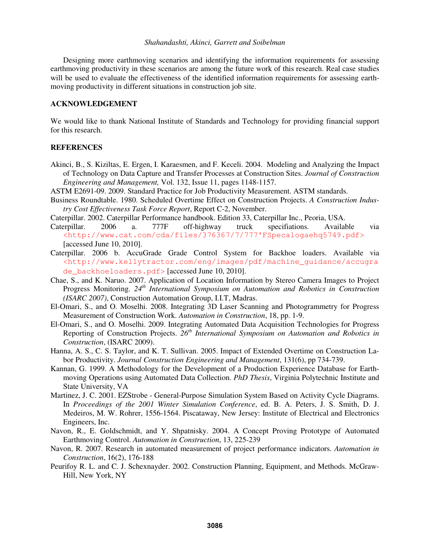Designing more earthmoving scenarios and identifying the information requirements for assessing earthmoving productivity in these scenarios are among the future work of this research. Real case studies will be used to evaluate the effectiveness of the identified information requirements for assessing earthmoving productivity in different situations in construction job site.

## **ACKNOWLEDGEMENT**

We would like to thank National Institute of Standards and Technology for providing financial support for this research.

## **REFERENCES**

Akinci, B., S. Kiziltas, E. Ergen, I. Karaesmen, and F. Keceli. 2004. Modeling and Analyzing the Impact of Technology on Data Capture and Transfer Processes at Construction Sites. *Journal of Construction Engineering and Management,* Vol. 132, Issue 11, pages 1148-1157.

ASTM E2691-09. 2009. Standard Practice for Job Productivity Measurement. ASTM standards.

- Business Roundtable. 1980. Scheduled Overtime Effect on Construction Projects. *A Construction Industry Cost Effectiveness Task Force Report*, Report C-2, November.
- Caterpillar. 2002. Caterpillar Performance handbook. Edition 33, Caterpillar Inc., Peoria, USA.
- Caterpillar. 2006 a. 777F off-highway truck specifiations. Available via <http://www.cat.com/cda/files/376367/7/777'FSpecalogaehq5749.pdf> [accessed June 10, 2010].
- Caterpillar. 2006 b. AccuGrade Grade Control System for Backhoe loaders. Available via <http://www.kellytractor.com/eng/images/pdf/machine\_guidance/accugra de\_backhoeloaders.pdf> [accessed June 10, 2010].
- Chae, S., and K. Naruo. 2007. Application of Location Information by Stereo Camera Images to Project Progress Monitoring. *24th International Symposium on Automation and Robotics in Construction (ISARC 2007)*, Construction Automation Group, I.I.T, Madras.
- El-Omari, S., and O. Moselhi. 2008. Integrating 3D Laser Scanning and Photogrammetry for Progress Measurement of Construction Work. *Automation in Construction*, 18, pp. 1-9.
- El-Omari, S., and O. Moselhi. 2009. Integrating Automated Data Acquisition Technologies for Progress Reporting of Construction Projects.  $26<sup>th</sup>$  International Symposium on Automation and Robotics in *Construction*, (ISARC 2009).
- Hanna, A. S., C. S. Taylor, and K. T. Sullivan. 2005. Impact of Extended Overtime on Construction Labor Productivity. *Journal Construction Engineering and Management*, 131(6), pp 734-739.
- Kannan, G. 1999. A Methodology for the Development of a Production Experience Database for Earthmoving Operations using Automated Data Collection. *PhD Thesis*, Virginia Polytechnic Institute and State University, VA
- Martinez, J. C. 2001. EZStrobe General-Purpose Simulation System Based on Activity Cycle Diagrams. In *Proceedings of the 2001 Winter Simulation Conference*, ed. B. A. Peters, J. S. Smith, D. J. Medeiros, M. W. Rohrer, 1556-1564. Piscataway, New Jersey: Institute of Electrical and Electronics Engineers, Inc.
- Navon, R., E. Goldschmidt, and Y. Shpatnisky. 2004. A Concept Proving Prototype of Automated Earthmoving Control. *Automation in Construction*, 13, 225-239
- Navon, R. 2007. Research in automated measurement of project performance indicators. *Automation in Construction*, 16(2), 176-188
- Peurifoy R. L. and C. J. Schexnayder. 2002. Construction Planning, Equipment, and Methods. McGraw-Hill, New York, NY